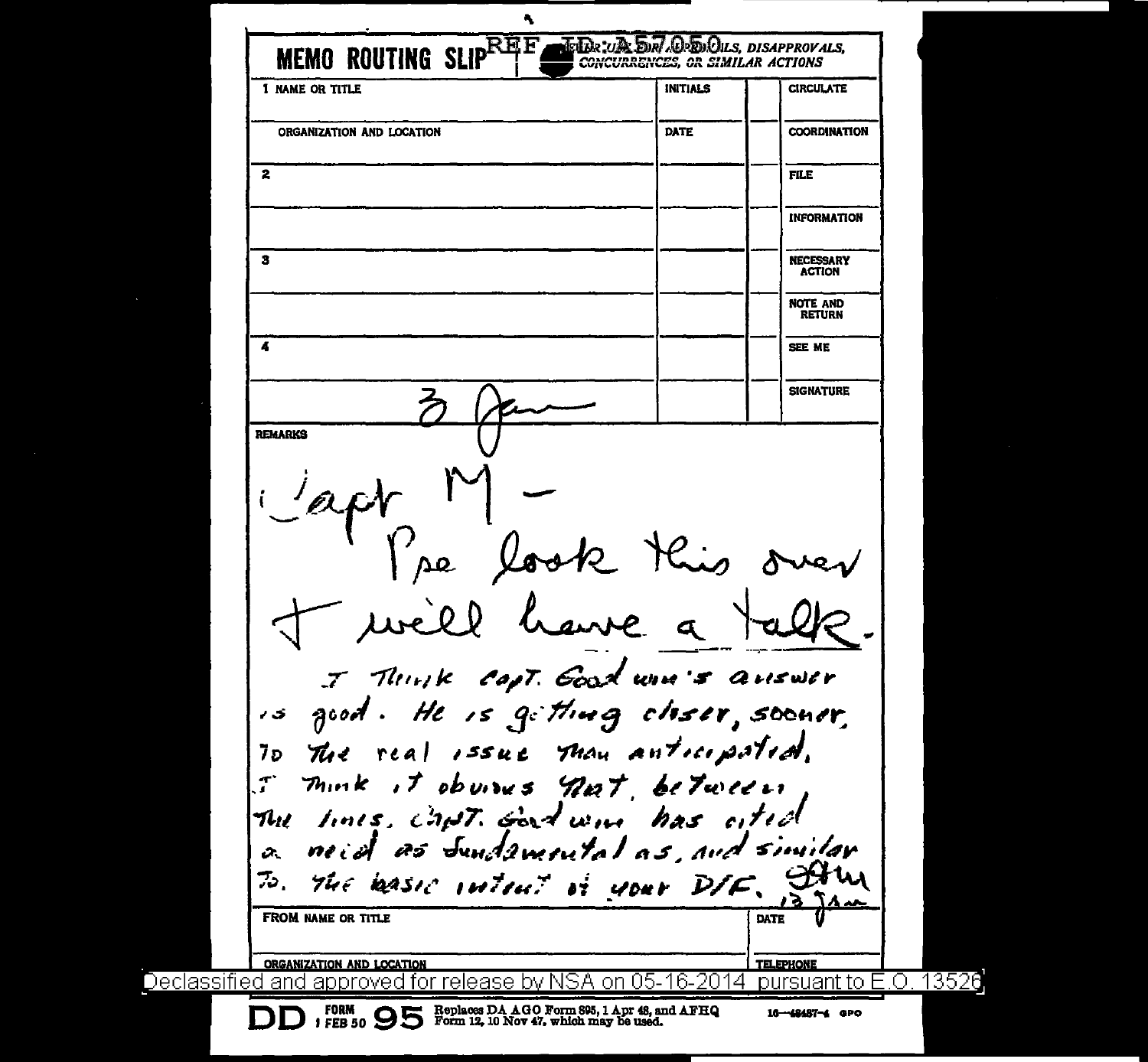Ą. **MEMO ROUTING SLIPEREE** ETER UR DEL CERECUS DISAPPROVALS. **CONCURRENCES, OR SIMILAR ACTIONS 1 NAME OR TITLE INITIALS CIRCULATE ORGANIZATION AND LOCATION DATE COORDINATION**  $\mathbf{z}$ **FILE INFORMATION**  $\mathbf{z}$ **NECESSARY ACTION NOTE AND RETTIRN** 4 SEE ME **SIGNATURE REMARKS** se look this - will have a I Think Capt. Good win's auswer is good. He is getting closer, sooner, The real issue than anticipated. פ7 mink it obvious not, between The lines, chat. Good wine has oited neid as Sundamental as and similar  $\alpha$ THE WASIC INTENT IT YOUR DIF. STAM 75. **FROM NAME OR TITLE** DATE ORGANIZATION AND LOCATION **TELEPHONE** Declassified and approved for release by NSA on 05-16-2014 pursuant to E.O. 13526 FORM PEB 50  $95$  Replaces DA AGO Form 895, 1 Apr 48, and AFHQ 1 FEB 50  $95$  Form 12, 10 Nov 47, which may be used. 16-48487-4 GPO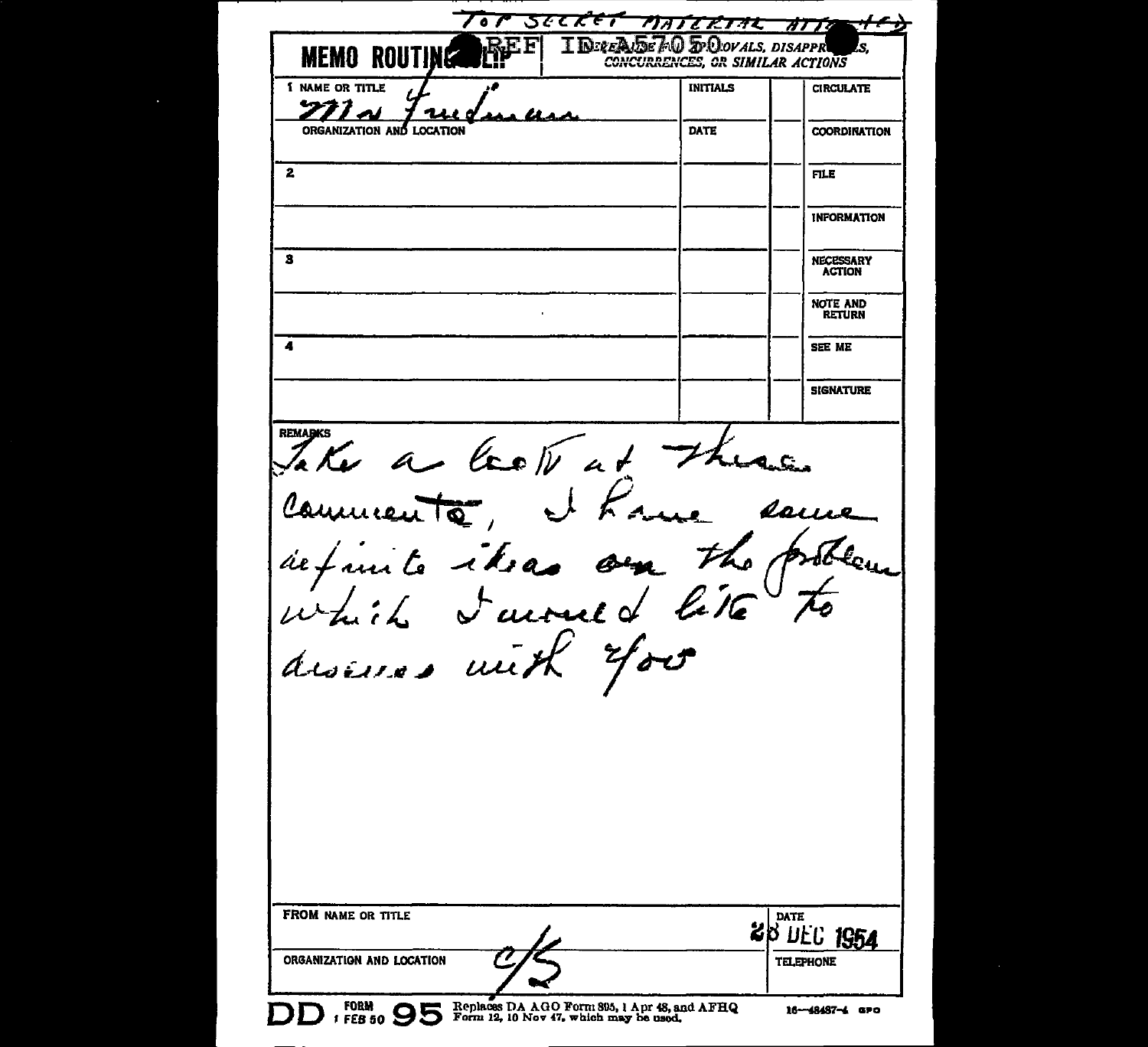| <b>MEMO ROUTIN</b><br><b>1 NAME OR TITLE</b>                                    | <b>INITIALS</b> | <b><i>OR SIMILAR ACTIONS</i></b><br><b>CIRCULATE</b> |
|---------------------------------------------------------------------------------|-----------------|------------------------------------------------------|
| י נה ז                                                                          |                 |                                                      |
|                                                                                 | DATE            | <b>COORDINATION</b>                                  |
| $\mathbf{z}$                                                                    |                 | FILE                                                 |
|                                                                                 |                 | <b>INFORMATION</b>                                   |
| з                                                                               |                 | <b>NECESSARY</b><br><b>ACTION</b>                    |
|                                                                                 |                 | <b>NOTE AND</b><br><b>RETURN</b>                     |
| 4                                                                               |                 | SEE ME                                               |
|                                                                                 |                 | <b>SIGNATURE</b>                                     |
| <b>REMARKS</b><br>The a lecte at 71<br>Comments, et f<br>definite iteras on the | e sau           | .<br>LAnSin                                          |
|                                                                                 | هم              |                                                      |
| disease with 4.<br>FROM NAME OR TITLE                                           |                 | DATE<br>28 DEC 1954                                  |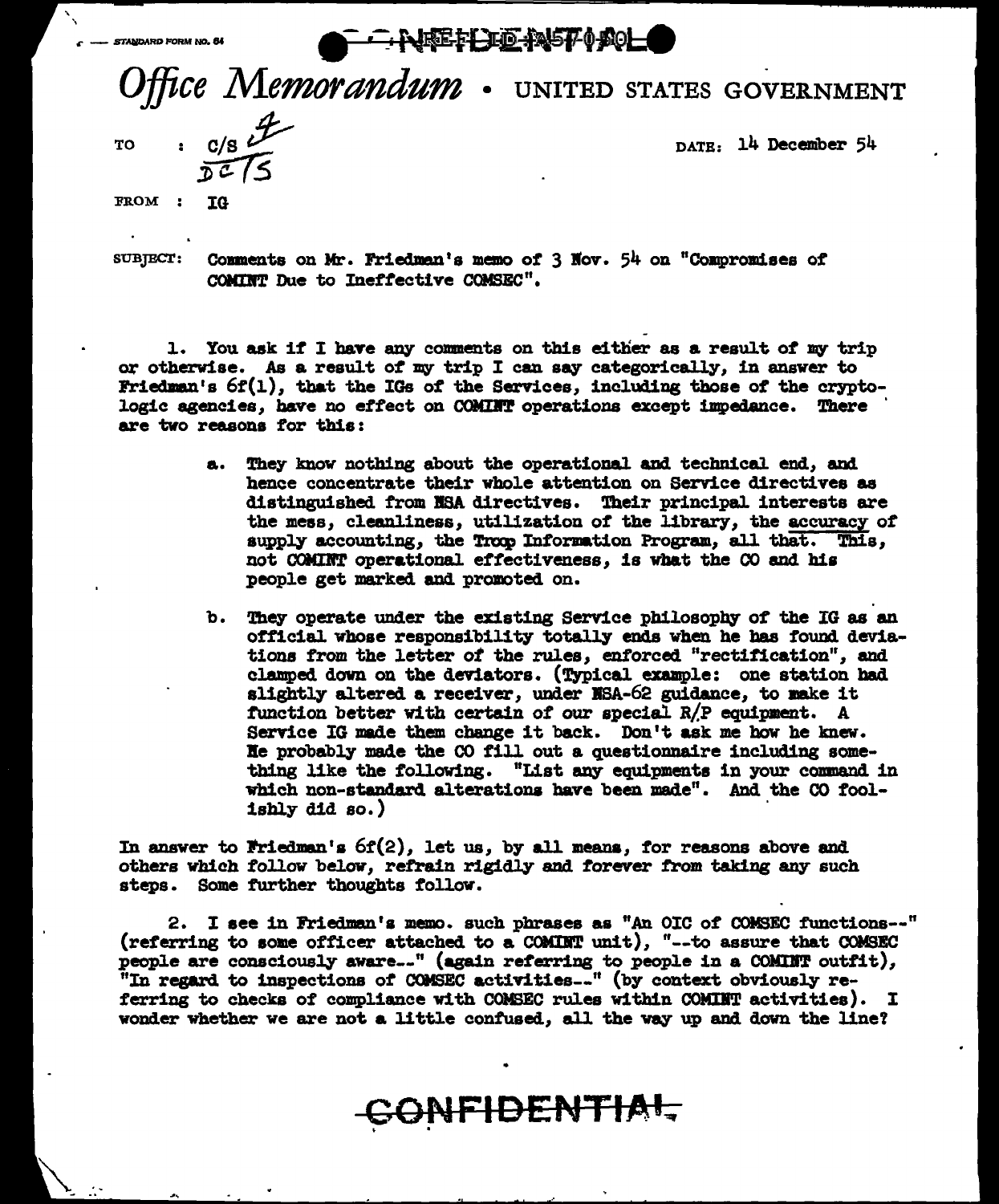STANDARD FORM NO. 64

## **NATH JE ANST (ACL**

Office Memorandum . UNITED STATES GOVERNMENT

**TO** 

 $\cdot$  c/s  $\mathscr{F}$ 

FROM : IG

DATE: 14 December 54

**SUBJECT:** Comments on Mr. Friedman's memo of 3 Nov. 54 on "Compromises of COMINT Due to Ineffective COMSEC".

1. You ask if I have any comments on this either as a result of my trip or otherwise. As a result of my trip I can say categorically, in answer to Friedman's  $6f(1)$ , that the IGs of the Services, including those of the cryptologic agencies, have no effect on COMINT operations except impedance. There are two reasons for this:

- They know nothing about the operational and technical end, and a. hence concentrate their whole attention on Service directives as distinguished from NSA directives. Their principal interests are the mess, cleanliness, utilization of the library, the accuracy of supply accounting, the Trop Information Program, all that. This, not COMINT operational effectiveness, is what the CO and his people get marked and promoted on.
- b. They operate under the existing Service philosophy of the IG as an official whose responsibility totally ends when he has found deviations from the letter of the rules, enforced "rectification", and clamped down on the deviators. (Typical example: one station had slightly altered a receiver, under NSA-62 guidance, to make it function better with certain of our special R/P equipment. A Service IG made them change it back. Don't ask me how he knew. He probably made the CO fill out a questionnaire including something like the following. "List any equipments in your command in which non-standard alterations have been made". And the CO foolishly did so.)

In answer to Friedman's  $6f(2)$ , let us, by all means, for reasons above and others which follow below, refrain rigidly and forever from taking any such steps. Some further thoughts follow.

2. I see in Friedman's memo. such phrases as "An OIC of COMSEC functions--" (referring to some officer attached to a COMINT unit), "--to assure that COMSEC people are consciously aware..." (again referring to people in a COMINT outfit), "In regard to inspections of COMSEC activities..." (by context obviously referring to checks of compliance with COMSEC rules within COMINT activities). I wonder whether we are not a little confused, all the way up and down the line?

ONFIDENTIAL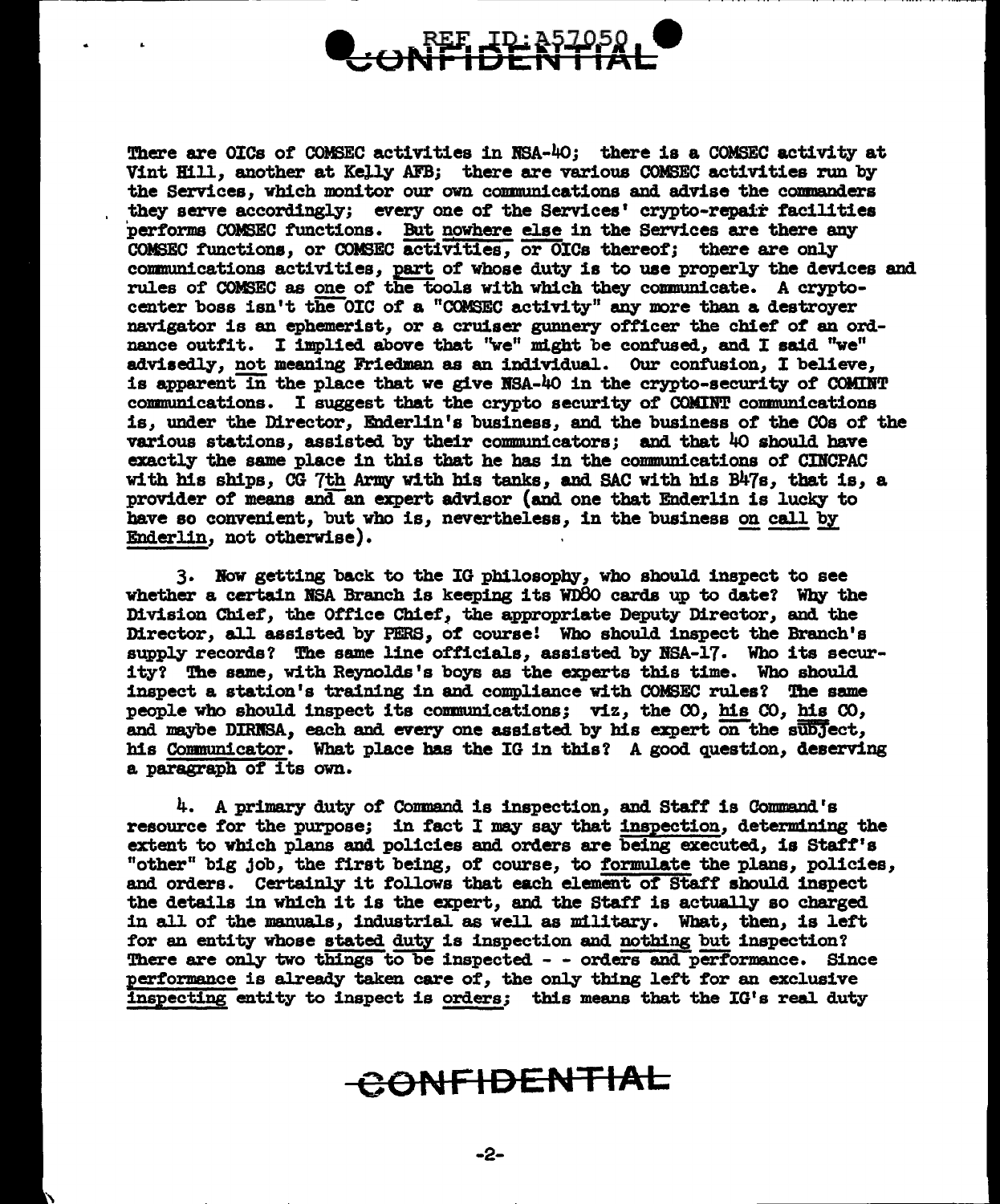

There are OICs of COMSEC activities in RBA-40; there is a COMSEC activity at Vint Hill, another at Kelly AFB; there are various COMSEC activities run by the Services, which monitor our own communications and advise the commanders they serve accordingly; every one of the Services' crypto-repair facilities performs COMSEC functions. But nowhere else in the Services are there any COMSEC functions, or COMSEC activities, or OICa thereof; there are only communications activities, part of whose duty is to use properly the devices and rules of COMSEC as one of the tools with which they communicate. A cryptocenter boss isn't the OIC of a "COMSEC activity" any more than a destroyer navigator is an ephemerist, or a cruiser gunnery officer the chief of an ordnance outfit. I implied above that "we" might be confused, and I said "we" advisedly, not meaning Friedman as an individual. Our confusion, I believe, is apparent in the place that we give NSA-40 in the crypto-security of COMINT communications. I suggest that the crypto security of COMINT communications is, under the Director, Enderlin's business, and the business of the cos of the various stations, assisted by their communicators; and that  $40$  should have exactly the same place in this that he has in the communications of CINCPAC with his ships, CG 7th Army with his tanks, and SAC with his B47s, that is, a provider of means and an expert advisor (and one that Enderlin is lucky to have so convenient, but who is, nevertheless, in the business on call by Enderlin, not otherwise).

3. Now getting back to the IG philosophy, who should inspect to see whether a certain NSA Branch is keeping its WD80 cards up to date? Why the Division Chief', the Office Cbief', the appropriate Deputy Director, and the Director, all. assisted by PERS, *o'l* course! Who should inspect the Branch's supply records? The same line officials, assisted by NSA-17. Who its security? The same, with Reynolds's boys as the experts this time. Who should inspect a station's training in and compliance with COMSEC rules? The same people who should inspect its communications; viz, the  $\infty$ , his  $\infty$ , his  $\infty$ , and maybe DIRNSA, each and every one assisted by his expert on the subject, his Communicator. What place has the IG in this? A good question, deserving a paragraph of its own.

4. A primary duty of Command is inspection, and Staff is Command's resource for the purpose; in fact I may say that inspection, determining the extent to which plans and policies and orders are being executed, is Staff's "other" big job, the first being, of course, to formulate the plans, policies, and orders. Certainly it follows that each element of Staff should inspect the details in which it is the expert, and the Staff is actually so charged in all of the manuals, industrial as well as military. What, then, is left for an entity whose stated duty is inspection and nothing but inspection? There are only two things to be inspected - - orders and performance. Since performance is already taken care of, the only thing left for an exclusive inspecting entity to inspect is orders; this means that the IG's real duty

## **CONFIDENTIAL**